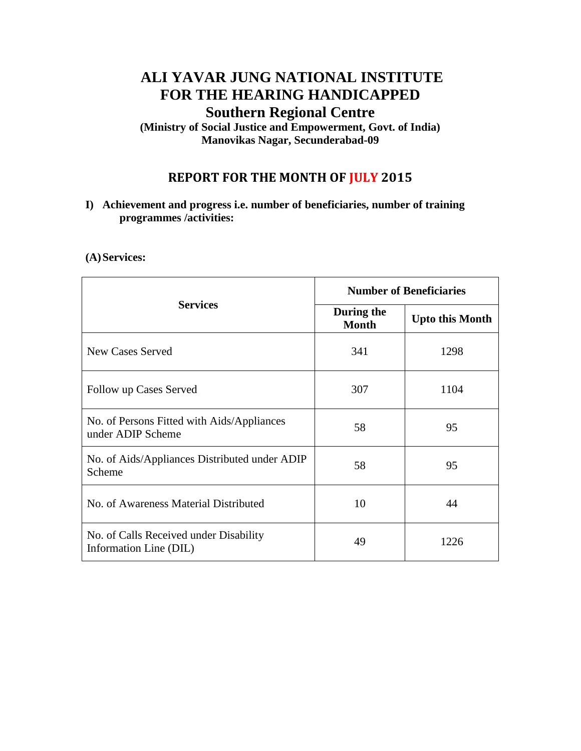# **ALI YAVAR JUNG NATIONAL INSTITUTE FOR THE HEARING HANDICAPPED Southern Regional Centre**

**(Ministry of Social Justice and Empowerment, Govt. of India) Manovikas Nagar, Secunderabad-09**

## **REPORT FOR THE MONTH OF JULY 2015**

**I) Achievement and progress i.e. number of beneficiaries, number of training programmes /activities:**

### **(A)Services:**

|                                                                  | <b>Number of Beneficiaries</b> |                        |  |
|------------------------------------------------------------------|--------------------------------|------------------------|--|
| <b>Services</b>                                                  | During the<br><b>Month</b>     | <b>Upto this Month</b> |  |
| <b>New Cases Served</b>                                          | 341                            | 1298                   |  |
| Follow up Cases Served                                           | 307                            | 1104                   |  |
| No. of Persons Fitted with Aids/Appliances<br>under ADIP Scheme  | 58                             | 95                     |  |
| No. of Aids/Appliances Distributed under ADIP<br>Scheme          | 58                             | 95                     |  |
| No. of Awareness Material Distributed                            | 10                             | 44                     |  |
| No. of Calls Received under Disability<br>Information Line (DIL) | 49                             | 1226                   |  |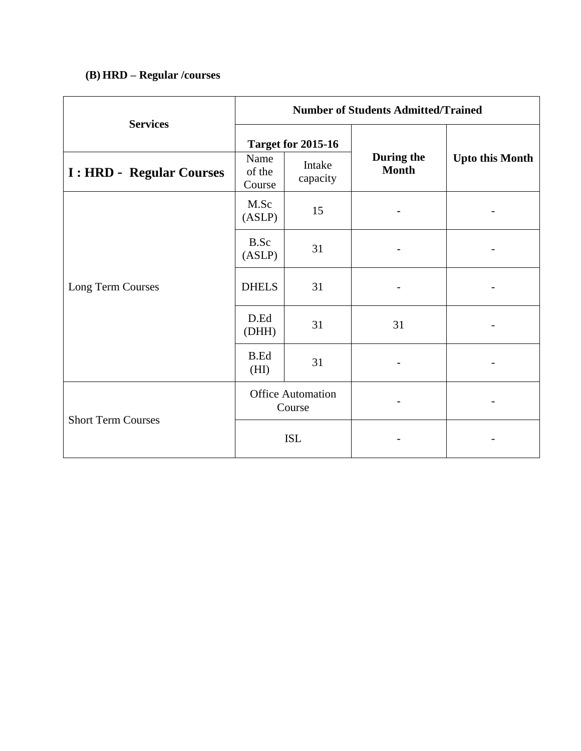## **(B) HRD – Regular /courses**

| <b>Services</b>                  | <b>Number of Students Admitted/Trained</b> |                    |                            |                              |  |  |
|----------------------------------|--------------------------------------------|--------------------|----------------------------|------------------------------|--|--|
|                                  | <b>Target for 2015-16</b>                  |                    |                            |                              |  |  |
| <b>I</b> : HRD - Regular Courses | Name<br>of the<br>Course                   | Intake<br>capacity | During the<br><b>Month</b> | <b>Upto this Month</b>       |  |  |
| Long Term Courses                | M.Sc<br>(ASLP)                             | 15                 |                            |                              |  |  |
|                                  | <b>B.Sc</b><br>(ASLP)                      | 31                 |                            |                              |  |  |
|                                  | <b>DHELS</b>                               | 31                 | $\overline{\phantom{a}}$   | $\qquad \qquad \blacksquare$ |  |  |
|                                  | D.Ed<br>(DHH)                              | 31                 | 31                         |                              |  |  |
|                                  | <b>B.Ed</b><br>(HI)                        | 31                 |                            |                              |  |  |
| <b>Short Term Courses</b>        | <b>Office Automation</b><br>Course         |                    |                            |                              |  |  |
|                                  | <b>ISL</b>                                 |                    |                            |                              |  |  |